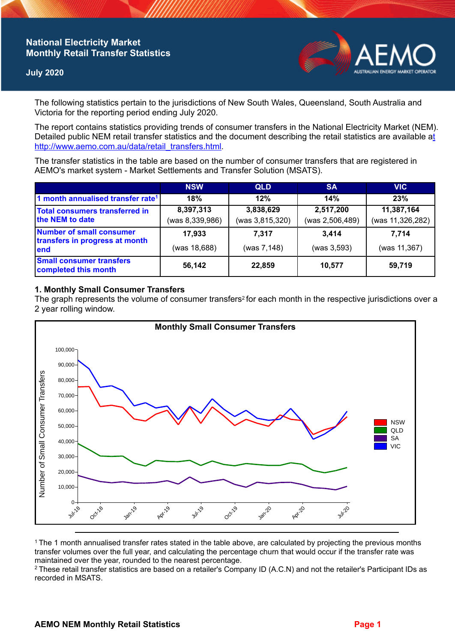# **National Electricity Market Monthly Retail Transfer Statistics**

## **July 2020**



The following statistics pertain to the jurisdictions of New South Wales, Queensland, South Australia and Victoria for the reporting period ending July 2020.

The report contains statistics providing trends of consumer transfers in the National Electricity Market (NEM). Detailed public NEM retail transfer statistics and the document describing the retail statistics are available a[t](http://www.aemo.com.au/data/retail_transfers.html)  http://www.aemo.com.au/data/retail\_transfers.html

The transfer statistics in the table are based on the number of consumer transfers that are registered in AEMO's market system - Market Settlements and Transfer Solution (MSATS).

|                                                                    | <b>NSW</b>      | <b>QLD</b>      | <b>SA</b>       | <b>VIC</b>       |
|--------------------------------------------------------------------|-----------------|-----------------|-----------------|------------------|
| 1 month annualised transfer rate <sup>1</sup>                      | 18%             | 12%             | 14%             | 23%              |
| <b>Total consumers transferred in</b><br>the NEM to date           | 8,397,313       | 3,838,629       | 2,517,200       | 11,387,164       |
|                                                                    | (was 8,339,986) | (was 3,815,320) | (was 2,506,489) | (was 11,326,282) |
| Number of small consumer<br>transfers in progress at month<br>lend | 17.933          | 7.317           | 3.414           | 7.714            |
|                                                                    | (was 18,688)    | (was 7,148)     | (was 3,593)     | (was 11,367)     |
| <b>Small consumer transfers</b><br>completed this month            | 56,142          | 22,859          | 10,577          | 59,719           |

#### **1. Monthly Small Consumer Transfers**

The graph represents the volume of consumer transfers<sup>2</sup> for each month in the respective jurisdictions over a 2 year rolling window.



<sup>1</sup>The 1 month annualised transfer rates stated in the table above, are calculated by projecting the previous months transfer volumes over the full year, and calculating the percentage churn that would occur if the transfer rate was maintained over the year, rounded to the nearest percentage.

<sup>2</sup> These retail transfer statistics are based on a retailer's Company ID (A.C.N) and not the retailer's Participant IDs as recorded in MSATS.